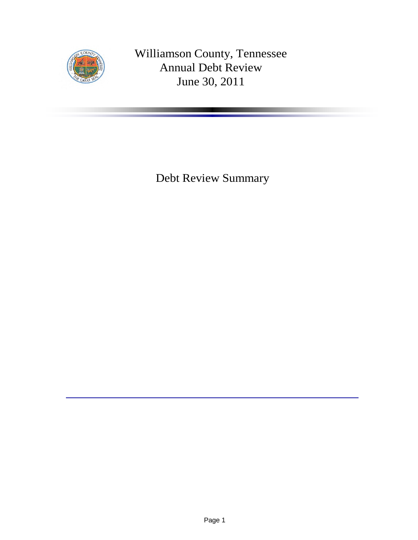

Williamson County, Tennessee Annual Debt Review June 30, 2011

Debt Review Summary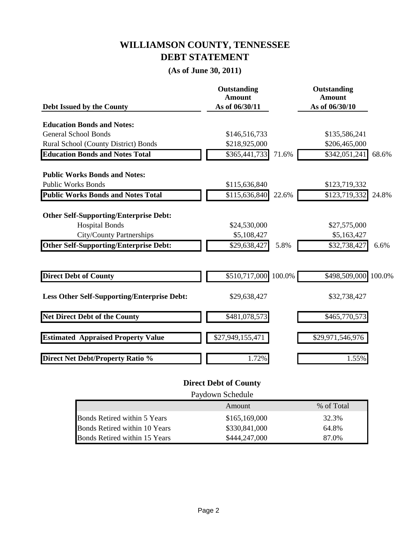## **WILLIAMSON COUNTY, TENNESSEE DEBT STATEMENT**

### **(As of June 30, 2011)**

| Debt Issued by the County                          | Outstanding<br><b>Amount</b><br>As of 06/30/11 |       | Outstanding<br><b>Amount</b><br>As of 06/30/10 |        |
|----------------------------------------------------|------------------------------------------------|-------|------------------------------------------------|--------|
| <b>Education Bonds and Notes:</b>                  |                                                |       |                                                |        |
| <b>General School Bonds</b>                        |                                                |       |                                                |        |
|                                                    | \$146,516,733                                  |       | \$135,586,241                                  |        |
| Rural School (County District) Bonds               | \$218,925,000                                  |       | \$206,465,000                                  |        |
| <b>Education Bonds and Notes Total</b>             | \$365,441,733                                  | 71.6% | \$342,051,241                                  | 68.6%  |
| <b>Public Works Bonds and Notes:</b>               |                                                |       |                                                |        |
| <b>Public Works Bonds</b>                          | \$115,636,840                                  |       | \$123,719,332                                  |        |
| <b>Public Works Bonds and Notes Total</b>          | \$115,636,840                                  | 22.6% | \$123,719,332                                  | 24.8%  |
| <b>Other Self-Supporting/Enterprise Debt:</b>      |                                                |       |                                                |        |
| <b>Hospital Bonds</b>                              | \$24,530,000                                   |       | \$27,575,000                                   |        |
| <b>City/County Partnerships</b>                    | \$5,108,427                                    |       | \$5,163,427                                    |        |
| <b>Other Self-Supporting/Enterprise Debt:</b>      | \$29,638,427                                   | 5.8%  | \$32,738,427                                   | 6.6%   |
|                                                    |                                                |       |                                                |        |
| <b>Direct Debt of County</b>                       | \$510,717,000 100.0%                           |       | \$498,509,000                                  | 100.0% |
| <b>Less Other Self-Supporting/Enterprise Debt:</b> | \$29,638,427                                   |       | \$32,738,427                                   |        |
| <b>Net Direct Debt of the County</b>               | \$481,078,573                                  |       | \$465,770,573                                  |        |
| <b>Estimated Appraised Property Value</b>          | \$27,949,155,471                               |       | \$29,971,546,976                               |        |
| Direct Net Debt/Property Ratio %                   | 1.72%                                          |       | 1.55%                                          |        |

### **Direct Debt of County**

| Paydown Schedule              |               |            |  |
|-------------------------------|---------------|------------|--|
|                               | Amount        | % of Total |  |
| Bonds Retired within 5 Years  | \$165,169,000 | 32.3%      |  |
| Bonds Retired within 10 Years | \$330,841,000 | 64.8%      |  |
| Bonds Retired within 15 Years | \$444,247,000 | 87.0%      |  |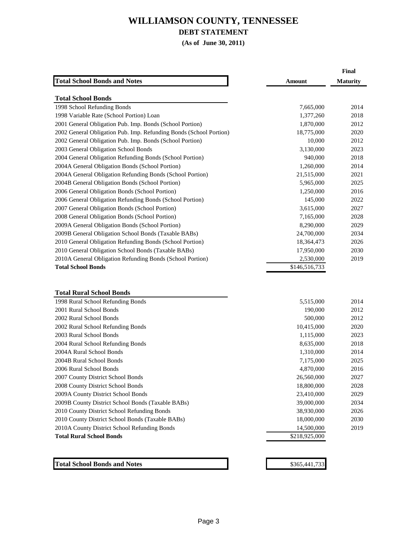### **DEBT STATEMENT**

**(As of June 30, 2011)**

|                                                                    |               | Final           |
|--------------------------------------------------------------------|---------------|-----------------|
| <b>Total School Bonds and Notes</b>                                | Amount        | <b>Maturity</b> |
| <b>Total School Bonds</b>                                          |               |                 |
| 1998 School Refunding Bonds                                        | 7,665,000     | 2014            |
| 1998 Variable Rate (School Portion) Loan                           | 1,377,260     | 2018            |
| 2001 General Obligation Pub. Imp. Bonds (School Portion)           | 1,870,000     | 2012            |
| 2002 General Obligation Pub. Imp. Refunding Bonds (School Portion) | 18,775,000    | 2020            |
| 2002 General Obligation Pub. Imp. Bonds (School Portion)           | 10,000        | 2012            |
| 2003 General Obligation School Bonds                               | 3,130,000     | 2023            |
| 2004 General Obligation Refunding Bonds (School Portion)           | 940,000       | 2018            |
| 2004A General Obligation Bonds (School Portion)                    | 1,260,000     | 2014            |
| 2004A General Obligation Refunding Bonds (School Portion)          | 21,515,000    | 2021            |
| 2004B General Obligation Bonds (School Portion)                    | 5,965,000     | 2025            |
| 2006 General Obligation Bonds (School Portion)                     | 1,250,000     | 2016            |
| 2006 General Obligation Refunding Bonds (School Portion)           | 145,000       | 2022            |
| 2007 General Obligation Bonds (School Portion)                     | 3,615,000     | 2027            |
| 2008 General Obligation Bonds (School Portion)                     | 7,165,000     | 2028            |
| 2009A General Obligation Bonds (School Portion)                    | 8,290,000     | 2029            |
| 2009B General Obligation School Bonds (Taxable BABs)               | 24,700,000    | 2034            |
| 2010 General Obligation Refunding Bonds (School Portion)           | 18,364,473    | 2026            |
| 2010 General Obligation School Bonds (Taxable BABs)                | 17,950,000    | 2030            |
| 2010A General Obligation Refunding Bonds (School Portion)          | 2,530,000     | 2019            |
| <b>Total School Bonds</b>                                          | \$146,516,733 |                 |
|                                                                    |               |                 |
| <b>Total Rural School Bonds</b>                                    |               |                 |
| 1998 Rural School Refunding Bonds                                  | 5,515,000     | 2014            |
| 2001 Rural School Bonds                                            | 190,000       | 2012            |
| 2002 Rural School Bonds                                            | 500,000       | 2012            |
| 2002 Rural School Refunding Bonds                                  | 10,415,000    | 2020            |
| 2003 Rural School Bonds                                            | 1,115,000     | 2023            |
| 2004 Rural School Refunding Bonds                                  | 8,635,000     | 2018            |
| 2004A Rural School Bonds                                           | 1,310,000     | 2014            |
| 2004B Rural School Bonds                                           | 7,175,000     | 2025            |
| 2006 Rural School Bonds                                            | 4,870,000     | 2016            |
| 2007 County District School Bonds                                  | 26,560,000    | 2027            |
| 2008 County District School Bonds                                  | 18,800,000    | 2028            |
| 2009A County District School Bonds                                 | 23,410,000    | 2029            |
| 2009B County District School Bonds (Taxable BABs)                  | 39,000,000    | 2034            |
| 2010 County District School Refunding Bonds                        | 38,930,000    | 2026            |
| 2010 County District School Bonds (Taxable BABs)                   | 18,000,000    | 2030            |
| 2010A County District School Refunding Bonds                       | 14,500,000    | 2019            |
| <b>Total Rural School Bonds</b>                                    | \$218,925,000 |                 |
|                                                                    |               |                 |

Total School Bonds and Notes **\$365,441,733**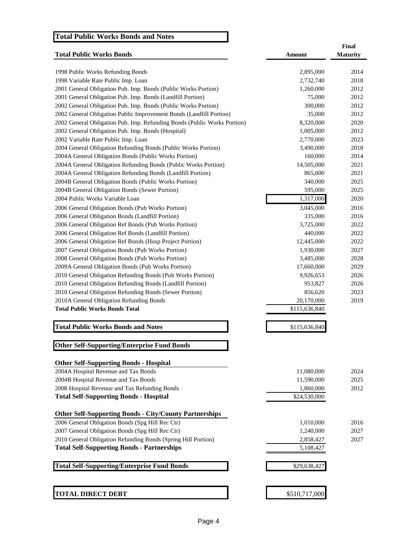| <b>Total Public Works Bonds and Notes</b>                                                            |                        | Final           |
|------------------------------------------------------------------------------------------------------|------------------------|-----------------|
| <b>Total Public Works Bonds</b>                                                                      | Amount                 | <b>Maturity</b> |
| 1998 Public Works Refunding Bonds                                                                    | 2,895,000              | 2014            |
| 1998 Variable Rate Public Imp. Loan                                                                  | 2,732,740              | 2018            |
| 2001 General Obligation Pub. Imp. Bonds (Public Works Portion)                                       | 1,260,000              | 2012            |
| 2001 General Obligation Pub. Imp. Bonds (Landfill Portion)                                           | 75,000                 | 2012            |
| 2002 General Obligation Pub. Imp. Bonds (Public Works Portion)                                       | 300,000                | 2012            |
| 2002 General Obligation Public Improvement Bonds (Landfill Portion)                                  | 35,000                 | 2012            |
| 2002 General Obligation Pub. Imp. Refunding Bonds (Public Works Portion)                             | 8,320,000              | 2020            |
| 2002 General Obligation Pub. Imp. Bonds (Hospital)                                                   | 1,005,000              | 2012            |
| 2002 Variable Rate Public Imp. Loan                                                                  | 2,770,000              | 2023            |
| 2004 General Obligation Refunding Bonds (Public Works Portion)                                       | 3,490,000              | 2018            |
| 2004A General Obligation Bonds (Public Works Portion)                                                | 160,000                | 2014            |
| 2004A General Obligation Refunding Bonds (Public Works Portion)                                      | 14,505,000             | 2021            |
| 2004A General Obligation Refunding Bonds (Landfill Portion)                                          | 865,000                | 2021            |
| 2004B General Obligation Bonds (Public Works Portion)                                                | 340,000                | 2025            |
| 2004B General Obligation Bonds (Sewer Portion)                                                       | 595,000                | 2025            |
| 2004 Public Works Variable Loan                                                                      | 1,317,000              | 2020            |
| 2006 General Obligation Bonds (Pub Works Portion)                                                    | 3,045,000              | 2016            |
| 2006 General Obligation Bonds (Landfill Portion)                                                     | 335,000                | 2016            |
| 2006 General Obligation Ref Bonds (Pub Works Portion)                                                | 3,725,000              | 2022            |
| 2006 General Obligation Ref Bonds (Landfill Portion)                                                 | 440,000                | 2022            |
| 2006 General Obligation Ref Bonds (Hosp Project Portion)                                             | 12,445,000             | 2022            |
| 2007 General Obligation Bonds (Pub Works Portion)                                                    | 1,930,000              | 2027            |
| 2008 General Obligation Bonds (Pub Works Portion)                                                    | 3,485,000              | 2028            |
| 2009A General Obligation Bonds (Pub Works Portion)                                                   | 17,660,000             | 2029            |
| 2010 General Obligation Refunding Bonds (Pub Works Portion)                                          | 9,926,653              | 2026            |
| 2010 General Obligation Refunding Bonds (Landfill Portion)                                           | 953,827                | 2026            |
| 2010 General Obligation Refunding Bonds (Sewer Portion)                                              | 856,620                | 2023            |
| 2010A General Obligation Refunding Bonds                                                             | 20,170,000             | 2019            |
| <b>Total Public Works Bonds Total</b>                                                                | \$115,636,840          |                 |
| <b>Total Public Works Bonds and Notes</b>                                                            | \$115,636,840          |                 |
| <b>Other Self-Supporting/Enterprise Fund Bonds</b>                                                   |                        |                 |
| <b>Other Self-Supporting Bonds - Hospital</b>                                                        |                        |                 |
| 2004A Hospital Revenue and Tax Bonds                                                                 | 11,080,000             | 2024            |
| 2004B Hospital Revenue and Tax Bonds                                                                 | 11,590,000             | 2025            |
| 2008 Hospital Revenue and Tax Refunding Bonds                                                        | 1,860,000              | 2012            |
| <b>Total Self-Supporting Bonds - Hospital</b>                                                        | \$24,530,000           |                 |
| <b>Other Self-Supporting Bonds - City/County Partnerships</b>                                        |                        |                 |
| 2006 General Obligation Bonds (Spg Hill Rec Ctr)<br>2007 General Obligation Bonds (Spg Hill Rec Ctr) | 1,010,000<br>1,240,000 | 2016<br>2027    |
| 2010 General Obligation Refunding Bonds (Spring Hill Portion)                                        |                        | 2027            |
| <b>Total Self-Supporting Bonds - Partnerships</b>                                                    | 2,858,427<br>5,108,427 |                 |
|                                                                                                      |                        |                 |
| <b>Total Self-Supporting/Enterprise Fund Bonds</b>                                                   | \$29,638,42            |                 |
| <b>TOTAL DIRECT DEBT</b>                                                                             | \$510,717,000          |                 |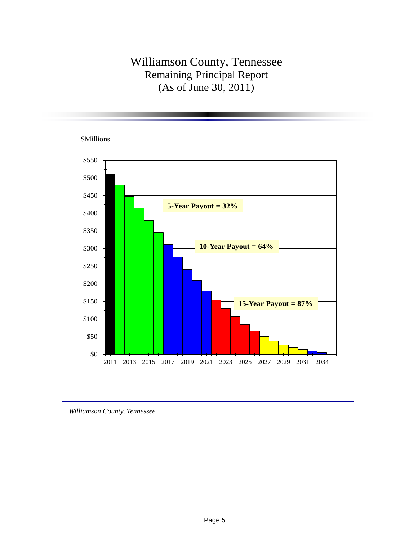# Williamson County, Tennessee Remaining Principal Report (As of June 30, 2011)



*Williamson County, Tennessee*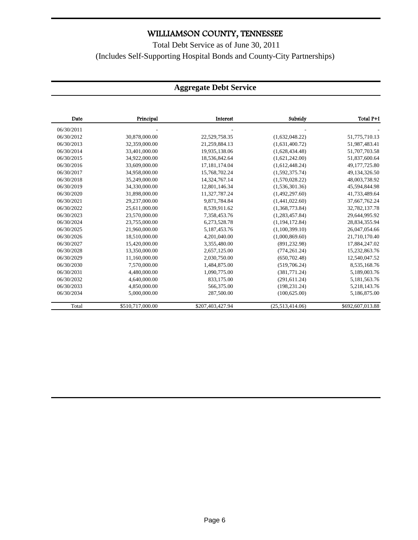Total Debt Service as of June 30, 2011 (Includes Self-Supporting Hospital Bonds and County-City Partnerships)

### **Aggregate Debt Service**

| Date       | Principal        | Interest         | Subsidy         | Total P+I        |
|------------|------------------|------------------|-----------------|------------------|
| 06/30/2011 |                  |                  |                 |                  |
| 06/30/2012 | 30,878,000.00    | 22,529,758.35    | (1,632,048.22)  | 51,775,710.13    |
| 06/30/2013 | 32,359,000.00    | 21,259,884.13    | (1,631,400.72)  | 51,987,483.41    |
| 06/30/2014 | 33,401,000.00    | 19,935,138.06    | (1,628,434.48)  | 51,707,703.58    |
| 06/30/2015 | 34,922,000.00    | 18,536,842.64    | (1,621,242.00)  | 51,837,600.64    |
| 06/30/2016 | 33,609,000.00    | 17, 181, 174.04  | (1,612,448.24)  | 49,177,725.80    |
| 06/30/2017 | 34,958,000.00    | 15,768,702.24    | (1,592,375.74)  | 49,134,326.50    |
| 06/30/2018 | 35,249,000.00    | 14,324,767.14    | (1,570,028.22)  | 48,003,738.92    |
| 06/30/2019 | 34,330,000.00    | 12,801,146.34    | (1,536,301.36)  | 45,594,844.98    |
| 06/30/2020 | 31,898,000.00    | 11,327,787.24    | (1,492,297.60)  | 41,733,489.64    |
| 06/30/2021 | 29,237,000.00    | 9,871,784.84     | (1,441,022.60)  | 37,667,762.24    |
| 06/30/2022 | 25,611,000.00    | 8,539,911.62     | (1,368,773.84)  | 32,782,137.78    |
| 06/30/2023 | 23,570,000.00    | 7,358,453.76     | (1,283,457.84)  | 29,644,995.92    |
| 06/30/2024 | 23,755,000.00    | 6,273,528.78     | (1,194,172.84)  | 28,834,355.94    |
| 06/30/2025 | 21,960,000.00    | 5,187,453.76     | (1,100,399.10)  | 26,047,054.66    |
| 06/30/2026 | 18,510,000.00    | 4,201,040.00     | (1,000,869.60)  | 21,710,170.40    |
| 06/30/2027 | 15,420,000.00    | 3,355,480.00     | (891, 232.98)   | 17,884,247.02    |
| 06/30/2028 | 13,350,000.00    | 2,657,125.00     | (774, 261.24)   | 15,232,863.76    |
| 06/30/2029 | 11,160,000.00    | 2,030,750.00     | (650, 702.48)   | 12,540,047.52    |
| 06/30/2030 | 7,570,000.00     | 1,484,875.00     | (519,706.24)    | 8,535,168.76     |
| 06/30/2031 | 4.480,000.00     | 1.090.775.00     | (381,771.24)    | 5,189,003.76     |
| 06/30/2032 | 4,640,000.00     | 833,175.00       | (291, 611.24)   | 5,181,563.76     |
| 06/30/2033 | 4,850,000.00     | 566,375.00       | (198, 231.24)   | 5,218,143.76     |
| 06/30/2034 | 5,000,000.00     | 287,500.00       | (100, 625.00)   | 5,186,875.00     |
| Total      | \$510,717,000.00 | \$207,403,427.94 | (25,513,414.06) | \$692,607,013.88 |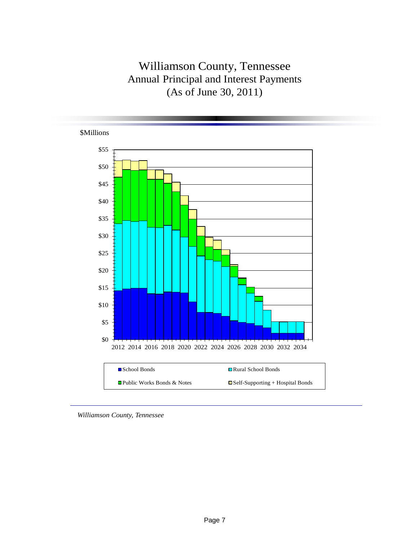# Williamson County, Tennessee Annual Principal and Interest Payments (As of June 30, 2011)



*Williamson County, Tennessee*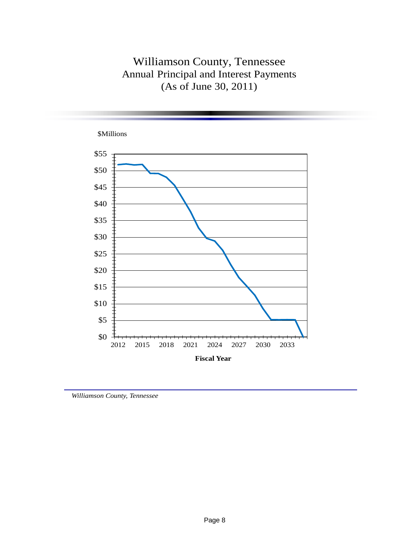## Williamson County, Tennessee Annual Principal and Interest Payments (As of June 30, 2011)



*Williamson County, Tennessee*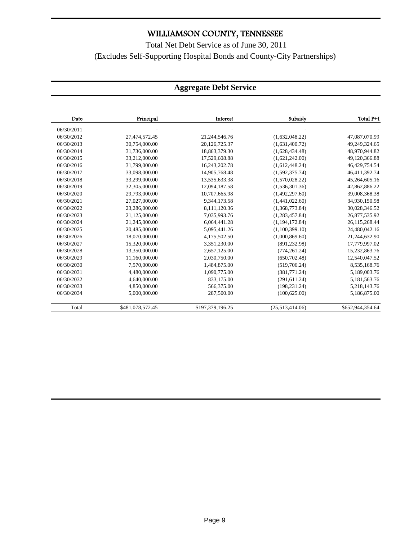Total Net Debt Service as of June 30, 2011 (Excludes Self-Supporting Hospital Bonds and County-City Partnerships)

### **Aggregate Debt Service**

| Date       | Principal        | Interest         | Subsidy         | Total P+I        |
|------------|------------------|------------------|-----------------|------------------|
| 06/30/2011 |                  |                  |                 |                  |
| 06/30/2012 | 27,474,572.45    | 21,244,546.76    | (1,632,048.22)  | 47,087,070.99    |
| 06/30/2013 | 30,754,000.00    | 20, 126, 725. 37 | (1,631,400.72)  | 49,249,324.65    |
| 06/30/2014 | 31,736,000.00    | 18,863,379.30    | (1,628,434.48)  | 48,970,944.82    |
| 06/30/2015 | 33,212,000.00    | 17,529,608.88    | (1,621,242.00)  | 49,120,366.88    |
| 06/30/2016 | 31,799,000.00    | 16,243,202.78    | (1,612,448.24)  | 46,429,754.54    |
| 06/30/2017 | 33,098,000.00    | 14,905,768.48    | (1,592,375.74)  | 46,411,392.74    |
| 06/30/2018 | 33,299,000.00    | 13,535,633.38    | (1,570,028.22)  | 45,264,605.16    |
| 06/30/2019 | 32,305,000.00    | 12.094.187.58    | (1,536,301.36)  | 42,862,886.22    |
| 06/30/2020 | 29.793.000.00    | 10.707.665.98    | (1,492,297.60)  | 39,008,368.38    |
| 06/30/2021 | 27,027,000.00    | 9,344,173.58     | (1,441,022.60)  | 34,930,150.98    |
| 06/30/2022 | 23,286,000.00    | 8,111,120.36     | (1,368,773.84)  | 30,028,346.52    |
| 06/30/2023 | 21,125,000.00    | 7,035,993.76     | (1,283,457.84)  | 26,877,535.92    |
| 06/30/2024 | 21,245,000.00    | 6,064,441.28     | (1,194,172.84)  | 26,115,268.44    |
| 06/30/2025 | 20,485,000.00    | 5,095,441.26     | (1,100,399.10)  | 24,480,042.16    |
| 06/30/2026 | 18,070,000.00    | 4,175,502.50     | (1,000,869.60)  | 21,244,632.90    |
| 06/30/2027 | 15,320,000.00    | 3,351,230.00     | (891, 232.98)   | 17,779,997.02    |
| 06/30/2028 | 13,350,000.00    | 2,657,125.00     | (774, 261.24)   | 15,232,863.76    |
| 06/30/2029 | 11,160,000.00    | 2,030,750.00     | (650, 702.48)   | 12,540,047.52    |
| 06/30/2030 | 7,570,000.00     | 1,484,875.00     | (519,706.24)    | 8,535,168.76     |
| 06/30/2031 | 4,480,000.00     | 1,090,775.00     | (381,771.24)    | 5,189,003.76     |
| 06/30/2032 | 4,640,000.00     | 833,175.00       | (291, 611.24)   | 5,181,563.76     |
| 06/30/2033 | 4,850,000.00     | 566,375.00       | (198, 231.24)   | 5,218,143.76     |
| 06/30/2034 | 5,000,000.00     | 287,500.00       | (100, 625.00)   | 5,186,875.00     |
| Total      | \$481,078,572.45 | \$197,379,196.25 | (25,513,414.06) | \$652.944.354.64 |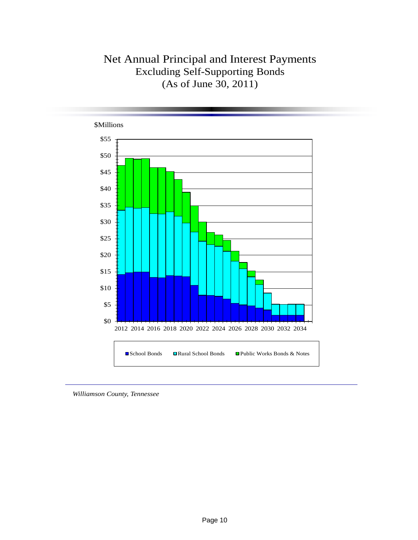## Net Annual Principal and Interest Payments Excluding Self-Supporting Bonds (As of June 30, 2011)



*Williamson County, Tennessee*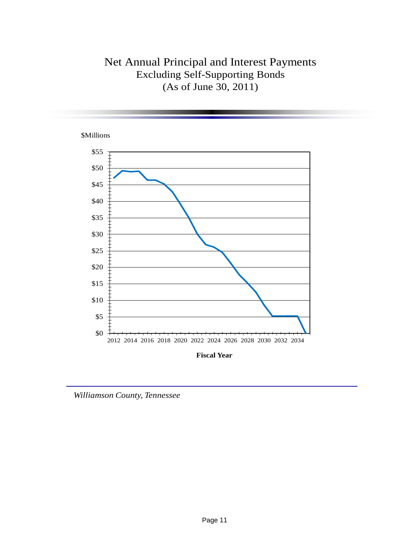## Net Annual Principal and Interest Payments Excluding Self-Supporting Bonds (As of June 30, 2011)



*Williamson County, Tennessee*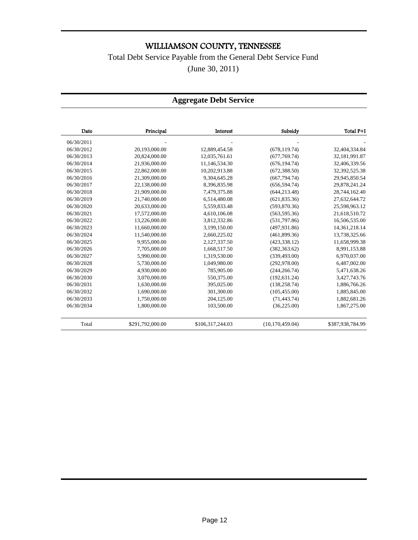#### Total Debt Service Payable from the General Debt Service Fund

(June 30, 2011)

#### **Aggregate Debt Service**

| Date       | Principal        | Interest         | Subsidy           | Total P+I        |
|------------|------------------|------------------|-------------------|------------------|
| 06/30/2011 |                  |                  |                   |                  |
| 06/30/2012 | 20,193,000.00    | 12,889,454.58    | (678, 119.74)     | 32,404,334.84    |
| 06/30/2013 | 20,824,000.00    | 12,035,761.61    | (677, 769.74)     | 32,181,991.87    |
| 06/30/2014 | 21,936,000.00    | 11,146,534.30    | (676, 194.74)     | 32,406,339.56    |
| 06/30/2015 | 22,862,000.00    | 10,202,913.88    | (672, 388.50)     | 32,392,525.38    |
| 06/30/2016 | 21.309.000.00    | 9,304,645.28     | (667, 794.74)     | 29,945,850.54    |
| 06/30/2017 | 22,138,000.00    | 8,396,835.98     | (656, 594, 74)    | 29,878,241.24    |
| 06/30/2018 | 21,909,000.00    | 7,479,375.88     | (644, 213.48)     | 28,744,162.40    |
| 06/30/2019 | 21,740,000.00    | 6,514,480.08     | (621, 835.36)     | 27,632,644.72    |
| 06/30/2020 | 20,633,000.00    | 5,559,833.48     | (593,870.36)      | 25,598,963.12    |
| 06/30/2021 | 17,572,000.00    | 4,610,106.08     | (563, 595, 36)    | 21,618,510.72    |
| 06/30/2022 | 13,226,000.00    | 3,812,332.86     | (531,797.86)      | 16,506,535.00    |
| 06/30/2023 | 11,660,000.00    | 3.199.150.00     | (497.931.86)      | 14,361,218.14    |
| 06/30/2024 | 11,540,000.00    | 2,660,225.02     | (461,899.36)      | 13,738,325.66    |
| 06/30/2025 | 9,955,000.00     | 2,127,337.50     | (423, 338.12)     | 11,658,999.38    |
| 06/30/2026 | 7,705,000.00     | 1,668,517.50     | (382, 363.62)     | 8,991,153.88     |
| 06/30/2027 | 5,990,000.00     | 1,319,530.00     | (339, 493.00)     | 6,970,037.00     |
| 06/30/2028 | 5,730,000.00     | 1,049,980.00     | (292, 978.00)     | 6,487,002.00     |
| 06/30/2029 | 4.930.000.00     | 785,905.00       | (244, 266.74)     | 5,471,638.26     |
| 06/30/2030 | 3,070,000.00     | 550,375.00       | (192, 631.24)     | 3,427,743.76     |
| 06/30/2031 | 1,630,000.00     | 395,025.00       | (138, 258, 74)    | 1,886,766.26     |
| 06/30/2032 | 1,690,000.00     | 301,300.00       | (105, 455.00)     | 1,885,845.00     |
| 06/30/2033 | 1,750,000.00     | 204,125.00       | (71, 443.74)      | 1,882,681.26     |
| 06/30/2034 | 1,800,000.00     | 103,500.00       | (36, 225.00)      | 1,867,275.00     |
| Total      | \$291,792,000.00 | \$106,317,244.03 | (10, 170, 459.04) | \$387,938,784.99 |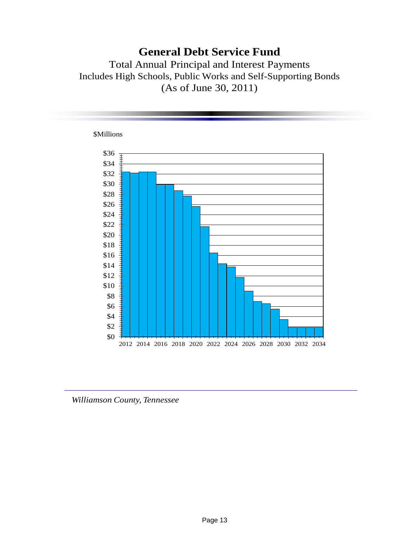# **General Debt Service Fund**

Total Annual Principal and Interest Payments Includes High Schools, Public Works and Self-Supporting Bonds (As of June 30, 2011)



*Williamson County, Tennessee*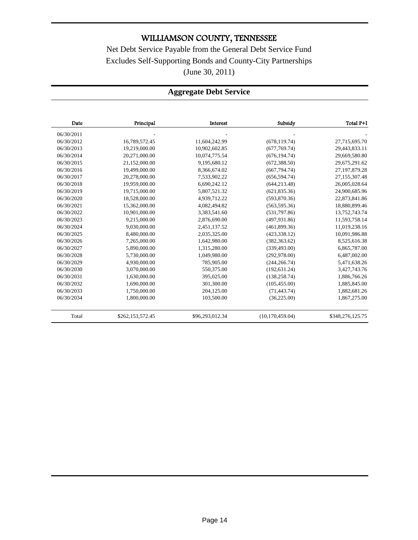Net Debt Service Payable from the General Debt Service Fund Excludes Self-Supporting Bonds and County-City Partnerships (June 30, 2011)

#### **Aggregate Debt Service**

| Date       | Principal        | Interest        | Subsidy           | Total P+I        |
|------------|------------------|-----------------|-------------------|------------------|
| 06/30/2011 |                  |                 |                   |                  |
| 06/30/2012 | 16,789,572.45    | 11,604,242.99   | (678, 119.74)     | 27,715,695.70    |
| 06/30/2013 | 19,219,000.00    | 10,902,602.85   | (677, 769.74)     | 29,443,833.11    |
| 06/30/2014 | 20,271,000.00    | 10,074,775.54   | (676, 194.74)     | 29,669,580.80    |
| 06/30/2015 | 21,152,000.00    | 9,195,680.12    | (672, 388.50)     | 29,675,291.62    |
| 06/30/2016 | 19,499,000.00    | 8,366,674.02    | (667, 794.74)     | 27, 197, 879. 28 |
| 06/30/2017 | 20,278,000.00    | 7,533,902.22    | (656, 594.74)     | 27,155,307.48    |
| 06/30/2018 | 19,959,000.00    | 6,690,242.12    | (644, 213.48)     | 26,005,028.64    |
| 06/30/2019 | 19,715,000.00    | 5,807,521.32    | (621, 835.36)     | 24,900,685.96    |
| 06/30/2020 | 18,528,000.00    | 4.939.712.22    | (593, 870.36)     | 22,873,841.86    |
| 06/30/2021 | 15,362,000.00    | 4,082,494.82    | (563, 595, 36)    | 18,880,899.46    |
| 06/30/2022 | 10.901.000.00    | 3.383.541.60    | (531,797.86)      | 13,752,743.74    |
| 06/30/2023 | 9.215.000.00     | 2.876.690.00    | (497.931.86)      | 11.593.758.14    |
| 06/30/2024 | 9,030,000.00     | 2,451,137.52    | (461, 899.36)     | 11,019,238.16    |
| 06/30/2025 | 8,480,000.00     | 2,035,325.00    | (423, 338.12)     | 10,091,986.88    |
| 06/30/2026 | 7,265,000.00     | 1,642,980.00    | (382, 363.62)     | 8,525,616.38     |
| 06/30/2027 | 5,890,000.00     | 1,315,280.00    | (339, 493.00)     | 6,865,787.00     |
| 06/30/2028 | 5,730,000.00     | 1,049,980.00    | (292, 978.00)     | 6,487,002.00     |
| 06/30/2029 | 4,930,000.00     | 785,905.00      | (244, 266, 74)    | 5,471,638.26     |
| 06/30/2030 | 3,070,000.00     | 550,375.00      | (192, 631.24)     | 3,427,743.76     |
| 06/30/2031 | 1,630,000.00     | 395,025.00      | (138, 258, 74)    | 1,886,766.26     |
| 06/30/2032 | 1,690,000.00     | 301,300.00      | (105, 455.00)     | 1,885,845.00     |
| 06/30/2033 | 1,750,000.00     | 204,125.00      | (71, 443.74)      | 1,882,681.26     |
| 06/30/2034 | 1,800,000.00     | 103,500.00      | (36, 225.00)      | 1,867,275.00     |
| Total      | \$262,153,572.45 | \$96,293,012.34 | (10, 170, 459.04) | \$348,276,125.75 |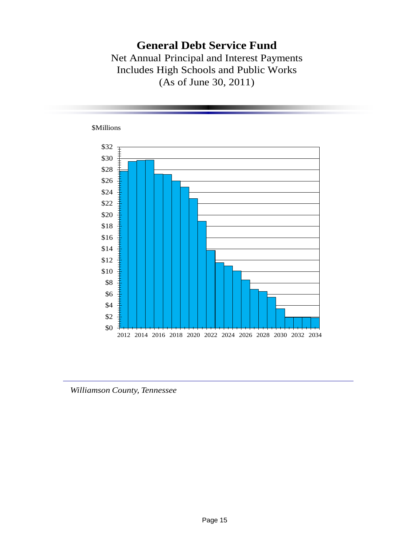### **General Debt Service Fund** Net Annual Principal and Interest Payments Includes High Schools and Public Works (As of June 30, 2011)



#### *Williamson County, Tennessee*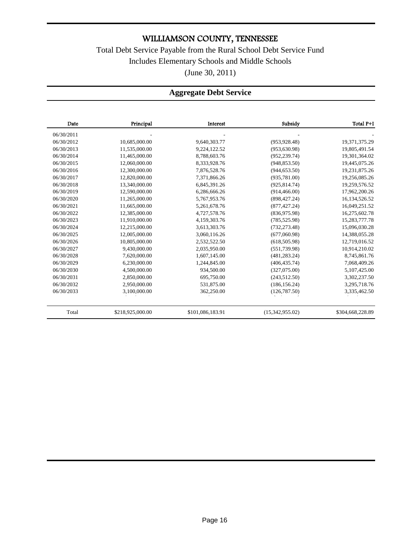Total Debt Service Payable from the Rural School Debt Service Fund Includes Elementary Schools and Middle Schools (June 30, 2011)

#### **Aggregate Debt Service**

| Date       | Principal        | Interest         | Subsidy         | Total P+I        |
|------------|------------------|------------------|-----------------|------------------|
| 06/30/2011 |                  |                  |                 |                  |
| 06/30/2012 | 10,685,000.00    | 9,640,303.77     | (953, 928.48)   | 19,371,375.29    |
| 06/30/2013 | 11,535,000.00    | 9,224,122.52     | (953, 630.98)   | 19,805,491.54    |
| 06/30/2014 | 11,465,000.00    | 8,788,603.76     | (952, 239.74)   | 19,301,364.02    |
| 06/30/2015 | 12,060,000.00    | 8.333.928.76     | (948, 853.50)   | 19,445,075.26    |
| 06/30/2016 | 12,300,000.00    | 7,876,528.76     | (944, 653.50)   | 19,231,875.26    |
| 06/30/2017 | 12,820,000.00    | 7,371,866.26     | (935, 781.00)   | 19,256,085.26    |
| 06/30/2018 | 13,340,000.00    | 6,845,391.26     | (925, 814.74)   | 19,259,576.52    |
| 06/30/2019 | 12,590,000.00    | 6,286,666.26     | (914, 466.00)   | 17,962,200.26    |
| 06/30/2020 | 11,265,000.00    | 5,767,953.76     | (898, 427, 24)  | 16, 134, 526. 52 |
| 06/30/2021 | 11,665,000.00    | 5,261,678.76     | (877, 427, 24)  | 16,049,251.52    |
| 06/30/2022 | 12,385,000.00    | 4,727,578.76     | (836,975.98)    | 16,275,602.78    |
| 06/30/2023 | 11,910,000.00    | 4,159,303.76     | (785, 525.98)   | 15,283,777.78    |
| 06/30/2024 | 12,215,000.00    | 3,613,303.76     | (732, 273.48)   | 15,096,030.28    |
| 06/30/2025 | 12,005,000.00    | 3,060,116.26     | (677,060.98)    | 14,388,055.28    |
| 06/30/2026 | 10,805,000.00    | 2,532,522.50     | (618, 505.98)   | 12,719,016.52    |
| 06/30/2027 | 9,430,000.00     | 2,035,950.00     | (551, 739.98)   | 10,914,210.02    |
| 06/30/2028 | 7,620,000.00     | 1,607,145.00     | (481, 283, 24)  | 8,745,861.76     |
| 06/30/2029 | 6,230,000.00     | 1,244,845.00     | (406, 435.74)   | 7,068,409.26     |
| 06/30/2030 | 4,500,000.00     | 934,500.00       | (327,075.00)    | 5,107,425.00     |
| 06/30/2031 | 2,850,000.00     | 695,750.00       | (243, 512.50)   | 3,302,237.50     |
| 06/30/2032 | 2,950,000.00     | 531,875.00       | (186, 156.24)   | 3,295,718.76     |
| 06/30/2033 | 3,100,000.00     | 362,250.00       | (126, 787.50)   | 3,335,462.50     |
| Total      | \$218,925,000.00 | \$101,086,183.91 | (15,342,955.02) | \$304,668,228.89 |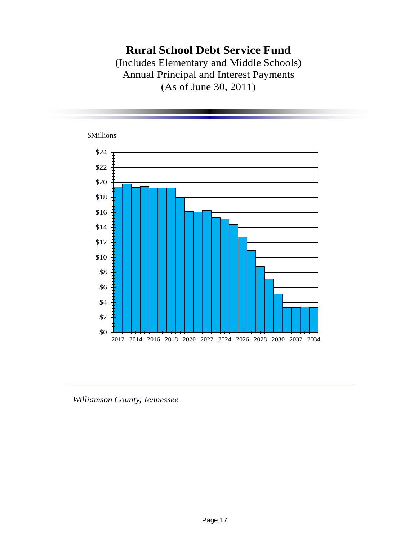# **Rural School Debt Service Fund**

(Includes Elementary and Middle Schools) Annual Principal and Interest Payments (As of June 30, 2011)



*Williamson County, Tennessee*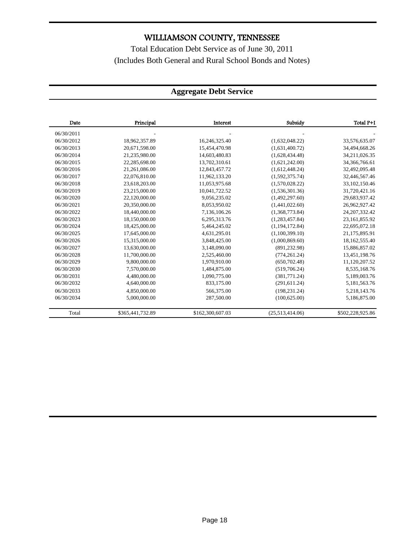Total Education Debt Service as of June 30, 2011 (Includes Both General and Rural School Bonds and Notes)

#### **Aggregate Debt Service**

| Date       | Principal        | Interest         | Subsidy         | Total P+I        |
|------------|------------------|------------------|-----------------|------------------|
| 06/30/2011 |                  |                  |                 |                  |
| 06/30/2012 | 18,962,357.89    | 16,246,325.40    | (1,632,048.22)  | 33,576,635.07    |
| 06/30/2013 | 20,671,598.00    | 15,454,470.98    | (1,631,400.72)  | 34,494,668.26    |
| 06/30/2014 | 21,235,980.00    | 14,603,480.83    | (1,628,434.48)  | 34, 211, 026. 35 |
| 06/30/2015 | 22,285,698.00    | 13,702,310.61    | (1,621,242.00)  | 34,366,766.61    |
| 06/30/2016 | 21,261,086.00    | 12,843,457.72    | (1,612,448.24)  | 32,492,095.48    |
| 06/30/2017 | 22,076,810.00    | 11,962,133.20    | (1,592,375.74)  | 32,446,567.46    |
| 06/30/2018 | 23.618.203.00    | 11.053.975.68    | (1,570,028.22)  | 33,102,150.46    |
| 06/30/2019 | 23,215,000.00    | 10,041,722.52    | (1,536,301.36)  | 31,720,421.16    |
| 06/30/2020 | 22,120,000.00    | 9,056,235.02     | (1,492,297.60)  | 29,683,937.42    |
| 06/30/2021 | 20,350,000.00    | 8,053,950.02     | (1,441,022.60)  | 26,962,927.42    |
| 06/30/2022 | 18,440,000.00    | 7,136,106.26     | (1,368,773.84)  | 24, 207, 332. 42 |
| 06/30/2023 | 18,150,000.00    | 6,295,313.76     | (1,283,457.84)  | 23,161,855.92    |
| 06/30/2024 | 18,425,000.00    | 5,464,245.02     | (1,194,172.84)  | 22,695,072.18    |
| 06/30/2025 | 17,645,000.00    | 4,631,295.01     | (1,100,399.10)  | 21,175,895.91    |
| 06/30/2026 | 15,315,000.00    | 3,848,425.00     | (1,000,869.60)  | 18,162,555.40    |
| 06/30/2027 | 13,630,000.00    | 3,148,090.00     | (891, 232.98)   | 15,886,857.02    |
| 06/30/2028 | 11,700,000.00    | 2,525,460.00     | (774, 261.24)   | 13,451,198.76    |
| 06/30/2029 | 9,800,000.00     | 1,970,910.00     | (650, 702.48)   | 11,120,207.52    |
| 06/30/2030 | 7,570,000.00     | 1,484,875.00     | (519,706.24)    | 8,535,168.76     |
| 06/30/2031 | 4,480,000.00     | 1,090,775.00     | (381,771.24)    | 5,189,003.76     |
| 06/30/2032 | 4,640,000.00     | 833,175.00       | (291, 611.24)   | 5,181,563.76     |
| 06/30/2033 | 4.850.000.00     | 566,375.00       | (198, 231.24)   | 5,218,143.76     |
| 06/30/2034 | 5,000,000.00     | 287,500.00       | (100, 625.00)   | 5,186,875.00     |
| Total      | \$365,441,732.89 | \$162,300,607.03 | (25,513,414.06) | \$502,228,925.86 |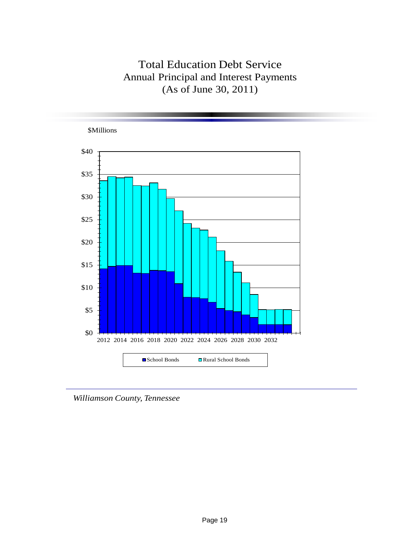Total Education Debt Service Annual Principal and Interest Payments (As of June 30, 2011)



*Williamson County, Tennessee*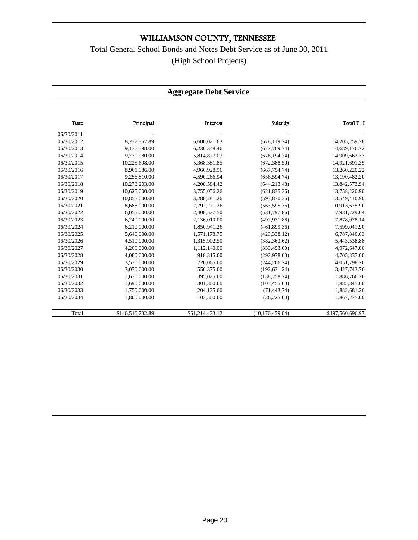Total General School Bonds and Notes Debt Service as of June 30, 2011 (High School Projects)

### **Aggregate Debt Service**

| Date       | Principal        | Interest        | Subsidy           | Total P+I        |
|------------|------------------|-----------------|-------------------|------------------|
| 06/30/2011 |                  |                 |                   |                  |
| 06/30/2012 | 8,277,357.89     | 6,606,021.63    | (678, 119.74)     | 14, 205, 259. 78 |
| 06/30/2013 | 9,136,598.00     | 6,230,348.46    | (677,769.74)      | 14,689,176.72    |
| 06/30/2014 | 9,770,980.00     | 5,814,877.07    | (676, 194.74)     | 14,909,662.33    |
| 06/30/2015 | 10,225,698.00    | 5,368,381.85    | (672, 388.50)     | 14,921,691.35    |
| 06/30/2016 | 8,961,086.00     | 4,966,928.96    | (667, 794.74)     | 13,260,220.22    |
| 06/30/2017 | 9,256,810.00     | 4,590,266.94    | (656, 594.74)     | 13,190,482.20    |
| 06/30/2018 | 10,278,203.00    | 4,208,584.42    | (644, 213.48)     | 13,842,573.94    |
| 06/30/2019 | 10,625,000.00    | 3,755,056.26    | (621, 835.36)     | 13,758,220.90    |
| 06/30/2020 | 10,855,000.00    | 3,288,281.26    | (593, 870.36)     | 13,549,410.90    |
| 06/30/2021 | 8,685,000.00     | 2,792,271.26    | (563, 595, 36)    | 10,913,675.90    |
| 06/30/2022 | 6,055,000.00     | 2,408,527.50    | (531,797.86)      | 7,931,729.64     |
| 06/30/2023 | 6,240,000.00     | 2,136,010.00    | (497, 931.86)     | 7,878,078.14     |
| 06/30/2024 | 6,210,000.00     | 1,850,941.26    | (461, 899.36)     | 7,599,041.90     |
| 06/30/2025 | 5,640,000.00     | 1,571,178.75    | (423, 338.12)     | 6,787,840.63     |
| 06/30/2026 | 4,510,000.00     | 1,315,902.50    | (382, 363.62)     | 5,443,538.88     |
| 06/30/2027 | 4,200,000.00     | 1,112,140.00    | (339, 493.00)     | 4,972,647.00     |
| 06/30/2028 | 4,080,000.00     | 918,315.00      | (292, 978.00)     | 4,705,337.00     |
| 06/30/2029 | 3,570,000.00     | 726,065.00      | (244, 266.74)     | 4,051,798.26     |
| 06/30/2030 | 3.070.000.00     | 550,375.00      | (192, 631.24)     | 3,427,743.76     |
| 06/30/2031 | 1,630,000.00     | 395,025.00      | (138, 258.74)     | 1,886,766.26     |
| 06/30/2032 | 1,690,000.00     | 301,300.00      | (105, 455.00)     | 1,885,845.00     |
| 06/30/2033 | 1,750,000.00     | 204,125.00      | (71, 443.74)      | 1,882,681.26     |
| 06/30/2034 | 1,800,000.00     | 103,500.00      | (36, 225.00)      | 1,867,275.00     |
| Total      | \$146,516,732.89 | \$61.214.423.12 | (10, 170, 459.04) | \$197,560,696.97 |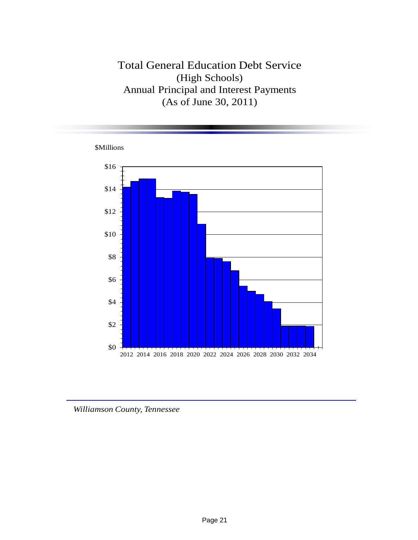### Total General Education Debt Service (High Schools) Annual Principal and Interest Payments (As of June 30, 2011)



#### *Williamson County, Tennessee*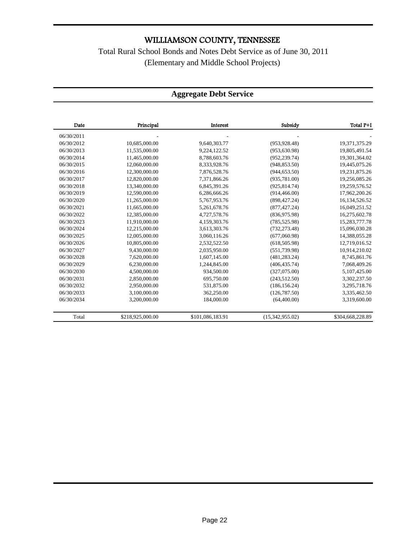Total Rural School Bonds and Notes Debt Service as of June 30, 2011 (Elementary and Middle School Projects)

#### **Aggregate Debt Service**

| Date       | Principal        | Interest         | Subsidy         | Total P+I        |
|------------|------------------|------------------|-----------------|------------------|
| 06/30/2011 |                  |                  |                 |                  |
| 06/30/2012 | 10,685,000.00    | 9,640,303.77     | (953, 928.48)   | 19,371,375.29    |
| 06/30/2013 | 11,535,000.00    | 9,224,122.52     | (953, 630.98)   | 19,805,491.54    |
| 06/30/2014 | 11,465,000.00    | 8,788,603.76     | (952, 239.74)   | 19,301,364.02    |
| 06/30/2015 | 12.060.000.00    | 8,333,928.76     | (948, 853.50)   | 19,445,075.26    |
| 06/30/2016 | 12,300,000.00    | 7,876,528.76     | (944, 653.50)   | 19,231,875.26    |
| 06/30/2017 | 12,820,000.00    | 7,371,866.26     | (935, 781.00)   | 19,256,085.26    |
| 06/30/2018 | 13,340,000.00    | 6,845,391.26     | (925, 814.74)   | 19,259,576.52    |
| 06/30/2019 | 12,590,000.00    | 6,286,666.26     | (914, 466.00)   | 17,962,200.26    |
| 06/30/2020 | 11,265,000.00    | 5,767,953.76     | (898, 427.24)   | 16,134,526.52    |
| 06/30/2021 | 11,665,000.00    | 5,261,678.76     | (877, 427, 24)  | 16,049,251.52    |
| 06/30/2022 | 12.385.000.00    | 4,727,578.76     | (836, 975.98)   | 16,275,602.78    |
| 06/30/2023 | 11,910,000.00    | 4,159,303.76     | (785, 525.98)   | 15,283,777.78    |
| 06/30/2024 | 12,215,000.00    | 3,613,303.76     | (732, 273.48)   | 15,096,030.28    |
| 06/30/2025 | 12,005,000.00    | 3,060,116.26     | (677,060.98)    | 14,388,055.28    |
| 06/30/2026 | 10,805,000.00    | 2,532,522.50     | (618, 505.98)   | 12,719,016.52    |
| 06/30/2027 | 9,430,000.00     | 2,035,950.00     | (551, 739.98)   | 10,914,210.02    |
| 06/30/2028 | 7.620.000.00     | 1.607.145.00     | (481, 283, 24)  | 8,745,861.76     |
| 06/30/2029 | 6,230,000.00     | 1,244,845.00     | (406, 435, 74)  | 7,068,409.26     |
| 06/30/2030 | 4,500,000.00     | 934,500.00       | (327,075.00)    | 5,107,425.00     |
| 06/30/2031 | 2,850,000.00     | 695,750.00       | (243, 512, 50)  | 3,302,237.50     |
| 06/30/2032 | 2.950,000.00     | 531,875.00       | (186, 156.24)   | 3,295,718.76     |
| 06/30/2033 | 3,100,000.00     | 362,250.00       | (126, 787.50)   | 3,335,462.50     |
| 06/30/2034 | 3,200,000.00     | 184,000.00       | (64,400.00)     | 3,319,600.00     |
| Total      | \$218,925,000.00 | \$101,086,183.91 | (15,342,955.02) | \$304,668,228.89 |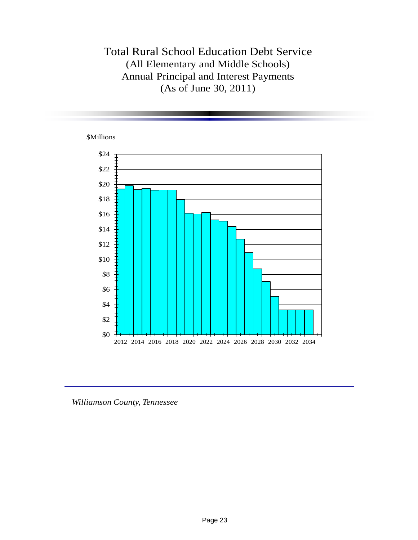### Total Rural School Education Debt Service (All Elementary and Middle Schools) Annual Principal and Interest Payments (As of June 30, 2011)



*Williamson County, Tennessee*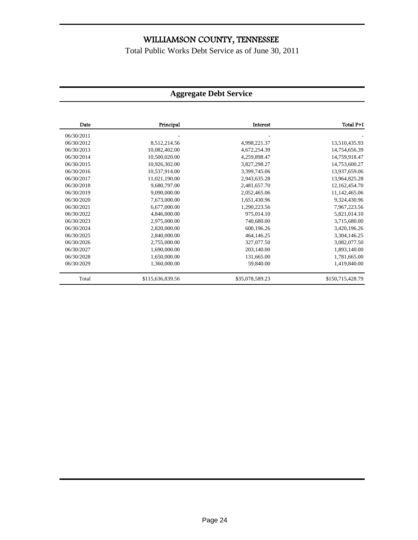Total Public Works Debt Service as of June 30, 2011

#### **Aggregate Debt Service**

| Date       | Principal        | Interest        | Total P+I        |
|------------|------------------|-----------------|------------------|
| 06/30/2011 |                  |                 |                  |
| 06/30/2012 | 8,512,214.56     | 4,998,221.37    | 13,510,435.93    |
| 06/30/2013 | 10,082,402.00    | 4,672,254.39    | 14,754,656.39    |
| 06/30/2014 | 10,500,020.00    | 4,259,898.47    | 14,759,918.47    |
| 06/30/2015 | 10,926,302.00    | 3,827,298.27    | 14,753,600.27    |
| 06/30/2016 | 10,537,914.00    | 3,399,745.06    | 13,937,659.06    |
| 06/30/2017 | 11,021,190.00    | 2,943,635.28    | 13,964,825.28    |
| 06/30/2018 | 9,680,797.00     | 2,481,657.70    | 12, 162, 454. 70 |
| 06/30/2019 | 9,090,000.00     | 2,052,465.06    | 11,142,465.06    |
| 06/30/2020 | 7,673,000.00     | 1,651,430.96    | 9,324,430.96     |
| 06/30/2021 | 6,677,000.00     | 1,290,223.56    | 7,967,223.56     |
| 06/30/2022 | 4,846,000.00     | 975,014.10      | 5,821,014.10     |
| 06/30/2023 | 2,975,000.00     | 740,680.00      | 3,715,680.00     |
| 06/30/2024 | 2,820,000.00     | 600,196.26      | 3,420,196.26     |
| 06/30/2025 | 2,840,000.00     | 464,146.25      | 3,304,146.25     |
| 06/30/2026 | 2,755,000.00     | 327,077.50      | 3,082,077.50     |
| 06/30/2027 | 1,690,000.00     | 203,140.00      | 1,893,140.00     |
| 06/30/2028 | 1,650,000.00     | 131,665.00      | 1,781,665.00     |
| 06/30/2029 | 1,360,000.00     | 59,840.00       | 1,419,840.00     |
| Total      | \$115,636,839.56 | \$35,078,589.23 | \$150,715,428.79 |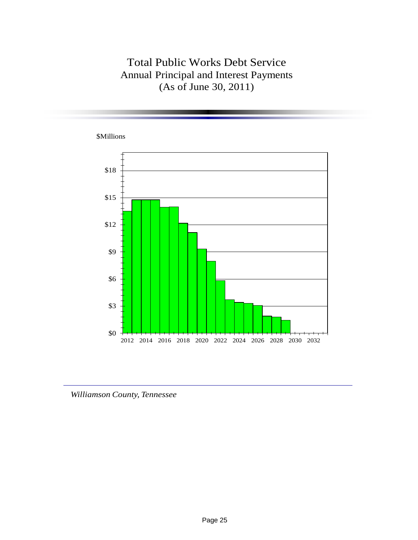## Total Public Works Debt Service Annual Principal and Interest Payments (As of June 30, 2011)



#### *Williamson County, Tennessee*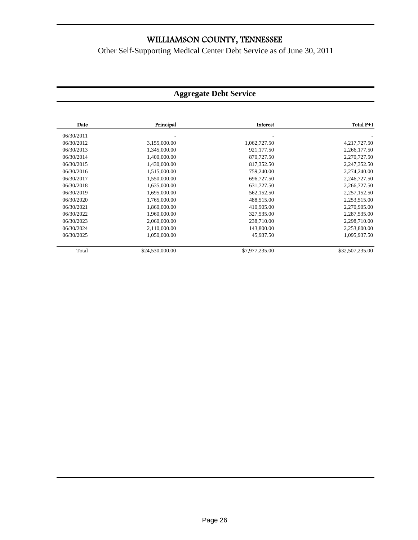Other Self-Supporting Medical Center Debt Service as of June 30, 2011

#### **Aggregate Debt Service**

| Date       | Principal       | Interest       | Total P+I       |
|------------|-----------------|----------------|-----------------|
| 06/30/2011 |                 |                |                 |
| 06/30/2012 | 3,155,000.00    | 1,062,727.50   | 4,217,727.50    |
| 06/30/2013 | 1,345,000.00    | 921,177.50     | 2,266,177.50    |
| 06/30/2014 | 1,400,000.00    | 870,727.50     | 2,270,727.50    |
| 06/30/2015 | 1,430,000.00    | 817,352.50     | 2,247,352.50    |
| 06/30/2016 | 1,515,000.00    | 759,240.00     | 2,274,240.00    |
| 06/30/2017 | 1,550,000.00    | 696,727.50     | 2,246,727.50    |
| 06/30/2018 | 1,635,000.00    | 631,727.50     | 2,266,727.50    |
| 06/30/2019 | 1,695,000.00    | 562,152.50     | 2,257,152.50    |
| 06/30/2020 | 1,765,000.00    | 488,515.00     | 2,253,515.00    |
| 06/30/2021 | 1,860,000.00    | 410,905.00     | 2,270,905.00    |
| 06/30/2022 | 1,960,000.00    | 327,535.00     | 2,287,535.00    |
| 06/30/2023 | 2,060,000.00    | 238,710.00     | 2,298,710.00    |
| 06/30/2024 | 2,110,000.00    | 143,800.00     | 2,253,800.00    |
| 06/30/2025 | 1,050,000.00    | 45,937.50      | 1,095,937.50    |
| Total      | \$24,530,000.00 | \$7,977,235.00 | \$32,507,235.00 |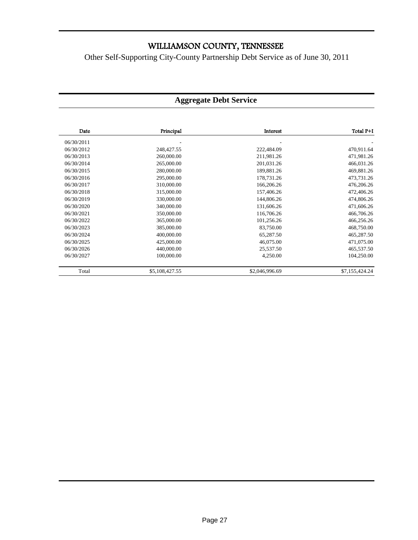Other Self-Supporting City-County Partnership Debt Service as of June 30, 2011

#### **Aggregate Debt Service**

| Date       | Principal      | Interest       | Total P+I      |
|------------|----------------|----------------|----------------|
| 06/30/2011 |                |                |                |
| 06/30/2012 | 248,427.55     | 222,484.09     | 470,911.64     |
| 06/30/2013 | 260,000.00     | 211,981.26     | 471,981.26     |
| 06/30/2014 | 265,000.00     | 201,031.26     | 466,031.26     |
| 06/30/2015 | 280,000.00     | 189,881.26     | 469,881.26     |
| 06/30/2016 | 295,000.00     | 178,731.26     | 473,731.26     |
| 06/30/2017 | 310,000.00     | 166,206.26     | 476,206.26     |
| 06/30/2018 | 315,000.00     | 157,406.26     | 472,406.26     |
| 06/30/2019 | 330,000.00     | 144,806.26     | 474,806.26     |
| 06/30/2020 | 340,000.00     | 131,606.26     | 471,606.26     |
| 06/30/2021 | 350,000.00     | 116,706.26     | 466,706.26     |
| 06/30/2022 | 365,000.00     | 101,256.26     | 466,256.26     |
| 06/30/2023 | 385,000.00     | 83,750.00      | 468,750.00     |
| 06/30/2024 | 400,000,00     | 65,287.50      | 465,287.50     |
| 06/30/2025 | 425,000.00     | 46,075.00      | 471,075.00     |
| 06/30/2026 | 440,000.00     | 25,537.50      | 465,537.50     |
| 06/30/2027 | 100,000.00     | 4,250.00       | 104,250.00     |
| Total      | \$5,108,427.55 | \$2,046,996.69 | \$7,155,424.24 |